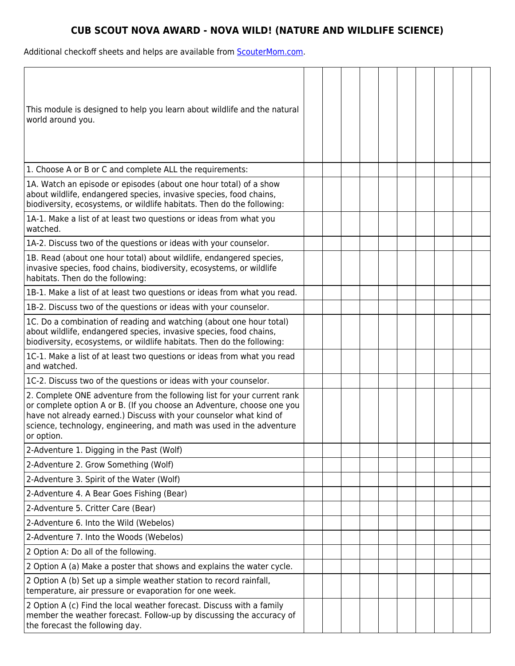## **CUB SCOUT NOVA AWARD - NOVA WILD! (NATURE AND WILDLIFE SCIENCE)**

Additional checkoff sheets and helps are available from **ScouterMom.com**.

| This module is designed to help you learn about wildlife and the natural<br>world around you.                                                                                                                                                                                                                 |  |  |  |  |  |
|---------------------------------------------------------------------------------------------------------------------------------------------------------------------------------------------------------------------------------------------------------------------------------------------------------------|--|--|--|--|--|
| 1. Choose A or B or C and complete ALL the requirements:                                                                                                                                                                                                                                                      |  |  |  |  |  |
| 1A. Watch an episode or episodes (about one hour total) of a show<br>about wildlife, endangered species, invasive species, food chains,<br>biodiversity, ecosystems, or wildlife habitats. Then do the following:                                                                                             |  |  |  |  |  |
| 1A-1. Make a list of at least two questions or ideas from what you<br>watched.                                                                                                                                                                                                                                |  |  |  |  |  |
| 1A-2. Discuss two of the questions or ideas with your counselor.                                                                                                                                                                                                                                              |  |  |  |  |  |
| 1B. Read (about one hour total) about wildlife, endangered species,<br>invasive species, food chains, biodiversity, ecosystems, or wildlife<br>habitats. Then do the following:                                                                                                                               |  |  |  |  |  |
| 1B-1. Make a list of at least two questions or ideas from what you read.                                                                                                                                                                                                                                      |  |  |  |  |  |
| 1B-2. Discuss two of the questions or ideas with your counselor.                                                                                                                                                                                                                                              |  |  |  |  |  |
| 1C. Do a combination of reading and watching (about one hour total)<br>about wildlife, endangered species, invasive species, food chains,<br>biodiversity, ecosystems, or wildlife habitats. Then do the following:                                                                                           |  |  |  |  |  |
| 1C-1. Make a list of at least two questions or ideas from what you read<br>and watched.                                                                                                                                                                                                                       |  |  |  |  |  |
| 1C-2. Discuss two of the questions or ideas with your counselor.                                                                                                                                                                                                                                              |  |  |  |  |  |
| 2. Complete ONE adventure from the following list for your current rank<br>or complete option A or B. (If you choose an Adventure, choose one you<br>have not already earned.) Discuss with your counselor what kind of<br>science, technology, engineering, and math was used in the adventure<br>or option. |  |  |  |  |  |
| 2-Adventure 1. Digging in the Past (Wolf)                                                                                                                                                                                                                                                                     |  |  |  |  |  |
| 2-Adventure 2. Grow Something (Wolf)                                                                                                                                                                                                                                                                          |  |  |  |  |  |
| 2-Adventure 3. Spirit of the Water (Wolf)                                                                                                                                                                                                                                                                     |  |  |  |  |  |
| 2-Adventure 4. A Bear Goes Fishing (Bear)                                                                                                                                                                                                                                                                     |  |  |  |  |  |
| 2-Adventure 5. Critter Care (Bear)                                                                                                                                                                                                                                                                            |  |  |  |  |  |
| 2-Adventure 6. Into the Wild (Webelos)                                                                                                                                                                                                                                                                        |  |  |  |  |  |
| 2-Adventure 7. Into the Woods (Webelos)                                                                                                                                                                                                                                                                       |  |  |  |  |  |
| 2 Option A: Do all of the following.                                                                                                                                                                                                                                                                          |  |  |  |  |  |
| 2 Option A (a) Make a poster that shows and explains the water cycle.                                                                                                                                                                                                                                         |  |  |  |  |  |
| 2 Option A (b) Set up a simple weather station to record rainfall,<br>temperature, air pressure or evaporation for one week.                                                                                                                                                                                  |  |  |  |  |  |
| 2 Option A (c) Find the local weather forecast. Discuss with a family<br>member the weather forecast. Follow-up by discussing the accuracy of<br>the forecast the following day.                                                                                                                              |  |  |  |  |  |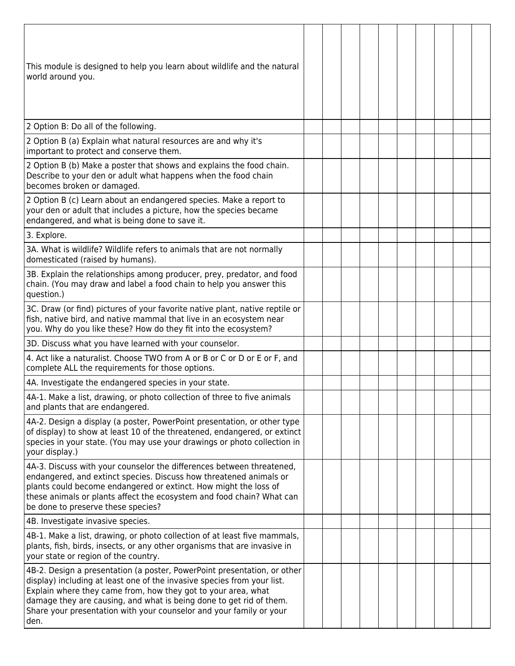| This module is designed to help you learn about wildlife and the natural<br>world around you.                                                                                                                                                                                                                                                                              |  |  |  |  |  |
|----------------------------------------------------------------------------------------------------------------------------------------------------------------------------------------------------------------------------------------------------------------------------------------------------------------------------------------------------------------------------|--|--|--|--|--|
| 2 Option B: Do all of the following.                                                                                                                                                                                                                                                                                                                                       |  |  |  |  |  |
| 2 Option B (a) Explain what natural resources are and why it's<br>important to protect and conserve them.                                                                                                                                                                                                                                                                  |  |  |  |  |  |
| 2 Option B (b) Make a poster that shows and explains the food chain.<br>Describe to your den or adult what happens when the food chain<br>becomes broken or damaged.                                                                                                                                                                                                       |  |  |  |  |  |
| 2 Option B (c) Learn about an endangered species. Make a report to<br>your den or adult that includes a picture, how the species became<br>endangered, and what is being done to save it.                                                                                                                                                                                  |  |  |  |  |  |
| 3. Explore.                                                                                                                                                                                                                                                                                                                                                                |  |  |  |  |  |
| 3A. What is wildlife? Wildlife refers to animals that are not normally<br>domesticated (raised by humans).                                                                                                                                                                                                                                                                 |  |  |  |  |  |
| 3B. Explain the relationships among producer, prey, predator, and food<br>chain. (You may draw and label a food chain to help you answer this<br>question.)                                                                                                                                                                                                                |  |  |  |  |  |
| 3C. Draw (or find) pictures of your favorite native plant, native reptile or<br>fish, native bird, and native mammal that live in an ecosystem near<br>you. Why do you like these? How do they fit into the ecosystem?                                                                                                                                                     |  |  |  |  |  |
| 3D. Discuss what you have learned with your counselor.                                                                                                                                                                                                                                                                                                                     |  |  |  |  |  |
| 4. Act like a naturalist. Choose TWO from A or B or C or D or E or F, and<br>complete ALL the requirements for those options.                                                                                                                                                                                                                                              |  |  |  |  |  |
| 4A. Investigate the endangered species in your state.                                                                                                                                                                                                                                                                                                                      |  |  |  |  |  |
| 4A-1. Make a list, drawing, or photo collection of three to five animals<br>and plants that are endangered.                                                                                                                                                                                                                                                                |  |  |  |  |  |
| 4A-2. Design a display (a poster, PowerPoint presentation, or other type<br>of display) to show at least 10 of the threatened, endangered, or extinct<br>species in your state. (You may use your drawings or photo collection in<br>your display.)                                                                                                                        |  |  |  |  |  |
| 4A-3. Discuss with your counselor the differences between threatened,<br>endangered, and extinct species. Discuss how threatened animals or<br>plants could become endangered or extinct. How might the loss of<br>these animals or plants affect the ecosystem and food chain? What can<br>be done to preserve these species?                                             |  |  |  |  |  |
| 4B. Investigate invasive species.                                                                                                                                                                                                                                                                                                                                          |  |  |  |  |  |
| 4B-1. Make a list, drawing, or photo collection of at least five mammals,<br>plants, fish, birds, insects, or any other organisms that are invasive in<br>your state or region of the country.                                                                                                                                                                             |  |  |  |  |  |
| 4B-2. Design a presentation (a poster, PowerPoint presentation, or other<br>display) including at least one of the invasive species from your list.<br>Explain where they came from, how they got to your area, what<br>damage they are causing, and what is being done to get rid of them.<br>Share your presentation with your counselor and your family or your<br>den. |  |  |  |  |  |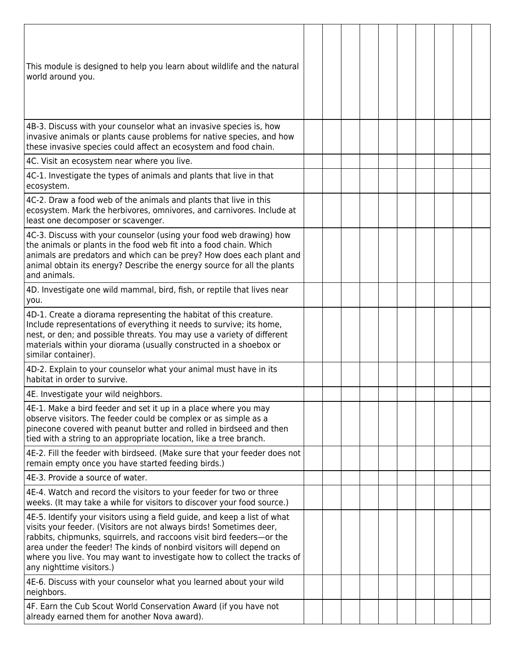| This module is designed to help you learn about wildlife and the natural<br>world around you.                                                                                                                                                                                                                                                                                                            |  |  |  |  |  |
|----------------------------------------------------------------------------------------------------------------------------------------------------------------------------------------------------------------------------------------------------------------------------------------------------------------------------------------------------------------------------------------------------------|--|--|--|--|--|
| 4B-3. Discuss with your counselor what an invasive species is, how<br>invasive animals or plants cause problems for native species, and how<br>these invasive species could affect an ecosystem and food chain.                                                                                                                                                                                          |  |  |  |  |  |
| 4C. Visit an ecosystem near where you live.                                                                                                                                                                                                                                                                                                                                                              |  |  |  |  |  |
| 4C-1. Investigate the types of animals and plants that live in that<br>ecosystem.                                                                                                                                                                                                                                                                                                                        |  |  |  |  |  |
| 4C-2. Draw a food web of the animals and plants that live in this<br>ecosystem. Mark the herbivores, omnivores, and carnivores. Include at<br>least one decomposer or scavenger.                                                                                                                                                                                                                         |  |  |  |  |  |
| 4C-3. Discuss with your counselor (using your food web drawing) how<br>the animals or plants in the food web fit into a food chain. Which<br>animals are predators and which can be prey? How does each plant and<br>animal obtain its energy? Describe the energy source for all the plants<br>and animals.                                                                                             |  |  |  |  |  |
| 4D. Investigate one wild mammal, bird, fish, or reptile that lives near<br>you.                                                                                                                                                                                                                                                                                                                          |  |  |  |  |  |
| 4D-1. Create a diorama representing the habitat of this creature.<br>Include representations of everything it needs to survive; its home,<br>nest, or den; and possible threats. You may use a variety of different<br>materials within your diorama (usually constructed in a shoebox or<br>similar container).                                                                                         |  |  |  |  |  |
| 4D-2. Explain to your counselor what your animal must have in its<br>habitat in order to survive.                                                                                                                                                                                                                                                                                                        |  |  |  |  |  |
| 4E. Investigate your wild neighbors.                                                                                                                                                                                                                                                                                                                                                                     |  |  |  |  |  |
| 4E-1. Make a bird feeder and set it up in a place where you may<br>observe visitors. The feeder could be complex or as simple as a<br>pinecone covered with peanut butter and rolled in birdseed and then<br>tied with a string to an appropriate location, like a tree branch.                                                                                                                          |  |  |  |  |  |
| 4E-2. Fill the feeder with birdseed. (Make sure that your feeder does not<br>remain empty once you have started feeding birds.)                                                                                                                                                                                                                                                                          |  |  |  |  |  |
| 4E-3. Provide a source of water.                                                                                                                                                                                                                                                                                                                                                                         |  |  |  |  |  |
| 4E-4. Watch and record the visitors to your feeder for two or three<br>weeks. (It may take a while for visitors to discover your food source.)                                                                                                                                                                                                                                                           |  |  |  |  |  |
| 4E-5. Identify your visitors using a field guide, and keep a list of what<br>visits your feeder. (Visitors are not always birds! Sometimes deer,<br>rabbits, chipmunks, squirrels, and raccoons visit bird feeders-or the<br>area under the feeder! The kinds of nonbird visitors will depend on<br>where you live. You may want to investigate how to collect the tracks of<br>any nighttime visitors.) |  |  |  |  |  |
| 4E-6. Discuss with your counselor what you learned about your wild<br>neighbors.                                                                                                                                                                                                                                                                                                                         |  |  |  |  |  |
| 4F. Earn the Cub Scout World Conservation Award (if you have not<br>already earned them for another Nova award).                                                                                                                                                                                                                                                                                         |  |  |  |  |  |